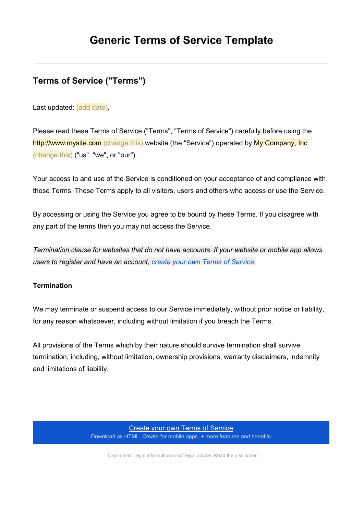# **Terms of Service ("Terms")**

Last updated: (add date).

Please read these Terms of Service ("Terms", "Terms of Service") carefully before using the http://www.mysite.com (change this) website (the "Service") operated by My Company, Inc. (change this) ("us", "we", or "our").

Your access to and use of the Service is conditioned on your acceptance of and compliance with these Terms. These Terms apply to all visitors, users and others who access or use the Service.

By accessing or using the Service you agree to be bound by these Terms. If you disagree with any part of the terms then you may not access the Service.

*Termination clause for websites that do not have accounts. If your website or mobile app allows users to register and have an account, create your own Terms of [Service.](https://www.google.com/url?q=https%3A%2F%2Ftermsfeed.com%2Fterms-service%2Fgenerator%2F%3Futm_source%3DGeneric%2BTemplate%26utm_medium%3DPDF%26utm_campaign%3DTS%2BTemplates%26utm_nooverride%3D1&sa=D&sntz=1&usg=AFQjCNEwTkX2J980kX011BS1v5naoWWx6A)*

### **Termination**

We may terminate or suspend access to our Service immediately, without prior notice or liability, for any reason whatsoever, including without limitation if you breach the Terms.

All provisions of the Terms which by their nature should survive termination shall survive termination, including, without limitation, ownership provisions, warranty disclaimers, indemnity and limitations of liability.

> Create your own Terms of [Service](https://www.google.com/url?q=https%3A%2F%2Ftermsfeed.com%2Fterms-service%2Fgenerator%2F%3Futm_source%3DGeneric%2BTemplate%26utm_medium%3DPDF%26utm_campaign%3DTS%2BTemplates%26utm_nooverride%3D1&sa=D&sntz=1&usg=AFQjCNEwTkX2J980kX011BS1v5naoWWx6A) Download as HTML. Create for mobile apps. + more features and benefits

Disclaimer: Legal information is not legal advice. Read the [disclaimer](http://www.google.com/url?q=http%3A%2F%2Ftermsfeed.com%2Flegal%2Fdisclaimer&sa=D&sntz=1&usg=AFQjCNFCctzLk3Lvtj0EQf0Dp6NwdKzu8A).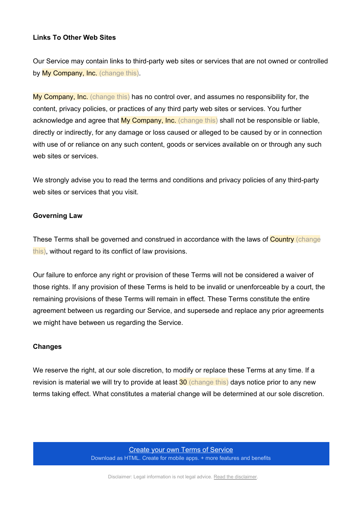#### **Links To Other Web Sites**

Our Service may contain links to third-party web sites or services that are not owned or controlled by My Company, Inc. (change this).

My Company, Inc. (change this) has no control over, and assumes no responsibility for, the content, privacy policies, or practices of any third party web sites or services. You further acknowledge and agree that My Company, Inc. (change this) shall not be responsible or liable, directly or indirectly, for any damage or loss caused or alleged to be caused by or in connection with use of or reliance on any such content, goods or services available on or through any such web sites or services.

We strongly advise you to read the terms and conditions and privacy policies of any third-party web sites or services that you visit.

#### **Governing Law**

These Terms shall be governed and construed in accordance with the laws of Country (change this), without regard to its conflict of law provisions.

Our failure to enforce any right or provision of these Terms will not be considered a waiver of those rights. If any provision of these Terms is held to be invalid or unenforceable by a court, the remaining provisions of these Terms will remain in effect. These Terms constitute the entire agreement between us regarding our Service, and supersede and replace any prior agreements we might have between us regarding the Service.

#### **Changes**

We reserve the right, at our sole discretion, to modify or replace these Terms at any time. If a revision is material we will try to provide at least 30 (change this) days notice prior to any new terms taking effect. What constitutes a material change will be determined at our sole discretion.